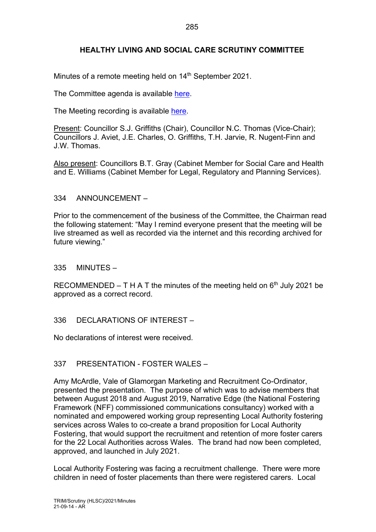# **HEALTHY LIVING AND SOCIAL CARE SCRUTINY COMMITTEE**

Minutes of a remote meeting held on 14<sup>th</sup> September 2021.

The Committee agenda is available [here.](https://www.valeofglamorgan.gov.uk/en/our_council/Council-Structure/minutes,_agendas_and_reports/agendas/Scrutiny-HLSC/2021/21-09-14.aspx)

The Meeting recording is available [here.](https://youtu.be/R07qqunh2-s)

Present: Councillor S.J. Griffiths (Chair), Councillor N.C. Thomas (Vice-Chair); Councillors J. Aviet, J.E. Charles, O. Griffiths, T.H. Jarvie, R. Nugent-Finn and J.W. Thomas.

Also present: Councillors B.T. Gray (Cabinet Member for Social Care and Health and E. Williams (Cabinet Member for Legal, Regulatory and Planning Services).

#### 334 ANNOUNCEMENT –

Prior to the commencement of the business of the Committee, the Chairman read the following statement: "May I remind everyone present that the meeting will be live streamed as well as recorded via the internet and this recording archived for future viewing."

335 MINUTES –

RECOMMENDED – T H A T the minutes of the meeting held on  $6<sup>th</sup>$  July 2021 be approved as a correct record.

#### 336 DECLARATIONS OF INTEREST –

No declarations of interest were received.

#### 337 PRESENTATION - FOSTER WALES –

Amy McArdle, Vale of Glamorgan Marketing and Recruitment Co-Ordinator, presented the presentation. The purpose of which was to advise members that between August 2018 and August 2019, Narrative Edge (the National Fostering Framework (NFF) commissioned communications consultancy) worked with a nominated and empowered working group representing Local Authority fostering services across Wales to co-create a brand proposition for Local Authority Fostering, that would support the recruitment and retention of more foster carers for the 22 Local Authorities across Wales. The brand had now been completed, approved, and launched in July 2021.

Local Authority Fostering was facing a recruitment challenge. There were more children in need of foster placements than there were registered carers. Local

21-09-14 - AR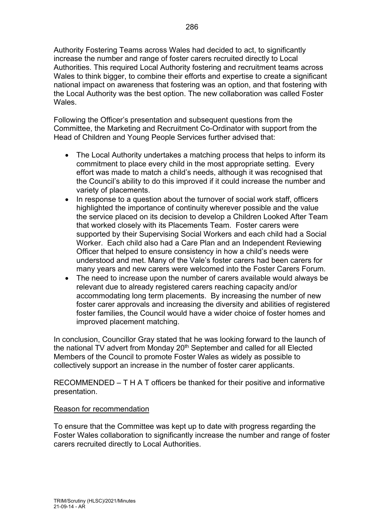Authority Fostering Teams across Wales had decided to act, to significantly increase the number and range of foster carers recruited directly to Local Authorities. This required Local Authority fostering and recruitment teams across Wales to think bigger, to combine their efforts and expertise to create a significant national impact on awareness that fostering was an option, and that fostering with the Local Authority was the best option. The new collaboration was called Foster Wales.

Following the Officer's presentation and subsequent questions from the Committee, the Marketing and Recruitment Co-Ordinator with support from the Head of Children and Young People Services further advised that:

- The Local Authority undertakes a matching process that helps to inform its commitment to place every child in the most appropriate setting. Every effort was made to match a child's needs, although it was recognised that the Council's ability to do this improved if it could increase the number and variety of placements.
- In response to a question about the turnover of social work staff, officers highlighted the importance of continuity wherever possible and the value the service placed on its decision to develop a Children Looked After Team that worked closely with its Placements Team. Foster carers were supported by their Supervising Social Workers and each child had a Social Worker. Each child also had a Care Plan and an Independent Reviewing Officer that helped to ensure consistency in how a child's needs were understood and met. Many of the Vale's foster carers had been carers for many years and new carers were welcomed into the Foster Carers Forum.
- The need to increase upon the number of carers available would always be relevant due to already registered carers reaching capacity and/or accommodating long term placements. By increasing the number of new foster carer approvals and increasing the diversity and abilities of registered foster families, the Council would have a wider choice of foster homes and improved placement matching.

In conclusion, Councillor Gray stated that he was looking forward to the launch of the national TV advert from Monday  $20<sup>th</sup>$  September and called for all Elected Members of the Council to promote Foster Wales as widely as possible to collectively support an increase in the number of foster carer applicants.

RECOMMENDED – T H A T officers be thanked for their positive and informative presentation.

#### Reason for recommendation

To ensure that the Committee was kept up to date with progress regarding the Foster Wales collaboration to significantly increase the number and range of foster carers recruited directly to Local Authorities.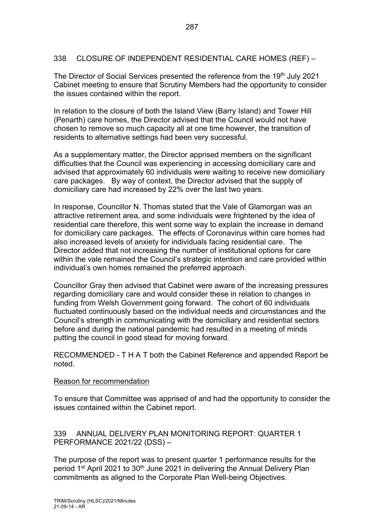### 338 CLOSURE OF INDEPENDENT RESIDENTIAL CARE HOMES (REF) –

The Director of Social Services presented the reference from the 19<sup>th</sup> July 2021 Cabinet meeting to ensure that Scrutiny Members had the opportunity to consider the issues contained within the report.

In relation to the closure of both the Island View (Barry Island) and Tower Hill (Penarth) care homes, the Director advised that the Council would not have chosen to remove so much capacity all at one time however, the transition of residents to alternative settings had been very successful.

As a supplementary matter, the Director apprised members on the significant difficulties that the Council was experiencing in accessing domiciliary care and advised that approximately 60 individuals were waiting to receive new domiciliary care packages. By way of context, the Director advised that the supply of domiciliary care had increased by 22% over the last two years.

In response, Councillor N. Thomas stated that the Vale of Glamorgan was an attractive retirement area, and some individuals were frightened by the idea of residential care therefore, this went some way to explain the increase in demand for domiciliary care packages. The effects of Coronavirus within care homes had also increased levels of anxiety for individuals facing residential care. The Director added that not increasing the number of institutional options for care within the vale remained the Council's strategic intention and care provided within individual's own homes remained the preferred approach.

Councillor Gray then advised that Cabinet were aware of the increasing pressures regarding domiciliary care and would consider these in relation to changes in funding from Welsh Government going forward. The cohort of 60 individuals fluctuated continuously based on the individual needs and circumstances and the Council's strength in communicating with the domiciliary and residential sectors before and during the national pandemic had resulted in a meeting of minds putting the council in good stead for moving forward.

RECOMMENDED - T H A T both the Cabinet Reference and appended Report be noted.

#### Reason for recommendation

To ensure that Committee was apprised of and had the opportunity to consider the issues contained within the Cabinet report.

339 ANNUAL DELIVERY PLAN MONITORING REPORT: QUARTER 1 PERFORMANCE 2021/22 (DSS) –

The purpose of the report was to present quarter 1 performance results for the period 1<sup>st</sup> April 2021 to 30<sup>th</sup> June 2021 in delivering the Annual Delivery Plan commitments as aligned to the Corporate Plan Well-being Objectives.